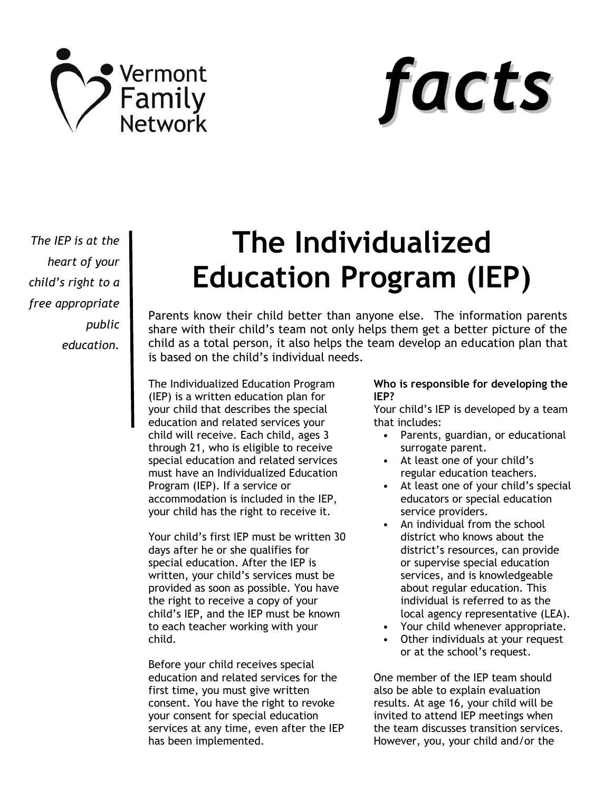



*The IEP is at the heart of your child's right to a free appropriate public education.*

# **The Individualized Education Program (IEP)**

Parents know their child better than anyone else. The information parents share with their child's team not only helps them get a better picture of the child as a total person, it also helps the team develop an education plan that is based on the child's individual needs.

The Individualized Education Program (IEP) is a written education plan for your child that describes the special education and related services your child will receive. Each child, ages 3 through 21, who is eligible to receive special education and related services must have an Individualized Education Program (IEP). If a service or accommodation is included in the IEP, your child has the right to receive it.

Your child's first IEP must be written 30 days after he or she qualifies for special education. After the IEP is written, your child's services must be provided as soon as possible. You have the right to receive a copy of your child's IEP, and the IEP must be known to each teacher working with your child.

Before your child receives special education and related services for the first time, you must give written consent. You have the right to revoke your consent for special education services at any time, even after the IEP has been implemented.

#### **Who is responsible for developing the IEP?**

Your child's IEP is developed by a team that includes:

- Parents, guardian, or educational surrogate parent.
- At least one of your child's regular education teachers.
- At least one of your child's special educators or special education service providers.
- An individual from the school district who knows about the district's resources, can provide or supervise special education services, and is knowledgeable about regular education. This individual is referred to as the local agency representative (LEA).
- Your child whenever appropriate.
- Other individuals at your request or at the school's request.

One member of the IEP team should also be able to explain evaluation results. At age 16, your child will be invited to attend IEP meetings when the team discusses transition services. However, you, your child and/or the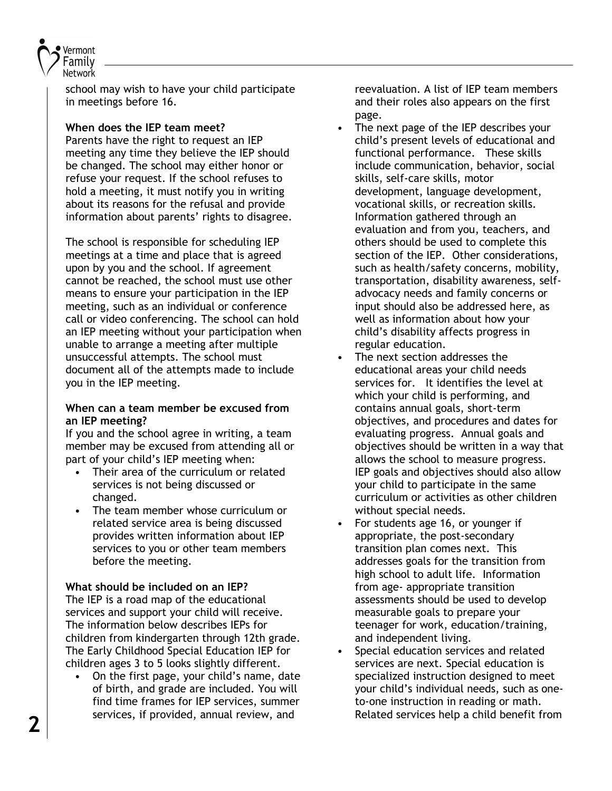

school may wish to have your child participate in meetings before 16.

## **When does the IEP team meet?**

Parents have the right to request an IEP meeting any time they believe the IEP should be changed. The school may either honor or refuse your request. If the school refuses to hold a meeting, it must notify you in writing about its reasons for the refusal and provide information about parents' rights to disagree.

The school is responsible for scheduling IEP meetings at a time and place that is agreed upon by you and the school. If agreement cannot be reached, the school must use other means to ensure your participation in the IEP meeting, such as an individual or conference call or video conferencing. The school can hold an IEP meeting without your participation when unable to arrange a meeting after multiple unsuccessful attempts. The school must document all of the attempts made to include you in the IEP meeting.

#### **When can a team member be excused from an IEP meeting?**

If you and the school agree in writing, a team member may be excused from attending all or part of your child's IEP meeting when:

- Their area of the curriculum or related services is not being discussed or changed.
- The team member whose curriculum or related service area is being discussed provides written information about IEP services to you or other team members before the meeting.

## **What should be included on an IEP?**

The IEP is a road map of the educational services and support your child will receive. The information below describes IEPs for children from kindergarten through 12th grade. The Early Childhood Special Education IEP for children ages 3 to 5 looks slightly different.

• On the first page, your child's name, date of birth, and grade are included. You will find time frames for IEP services, summer services, if provided, annual review, and

reevaluation. A list of IEP team members and their roles also appears on the first page.

- The next page of the IEP describes your child's present levels of educational and functional performance. These skills include communication, behavior, social skills, self-care skills, motor development, language development, vocational skills, or recreation skills. Information gathered through an evaluation and from you, teachers, and others should be used to complete this section of the IEP. Other considerations, such as health/safety concerns, mobility, transportation, disability awareness, selfadvocacy needs and family concerns or input should also be addressed here, as well as information about how your child's disability affects progress in regular education.
- The next section addresses the educational areas your child needs services for. It identifies the level at which your child is performing, and contains annual goals, short-term objectives, and procedures and dates for evaluating progress. Annual goals and objectives should be written in a way that allows the school to measure progress. IEP goals and objectives should also allow your child to participate in the same curriculum or activities as other children without special needs.
- For students age 16, or younger if appropriate, the post-secondary transition plan comes next. This addresses goals for the transition from high school to adult life. Information from age- appropriate transition assessments should be used to develop measurable goals to prepare your teenager for work, education/training, and independent living.
- Special education services and related services are next. Special education is specialized instruction designed to meet your child's individual needs, such as oneto-one instruction in reading or math. Related services help a child benefit from **2**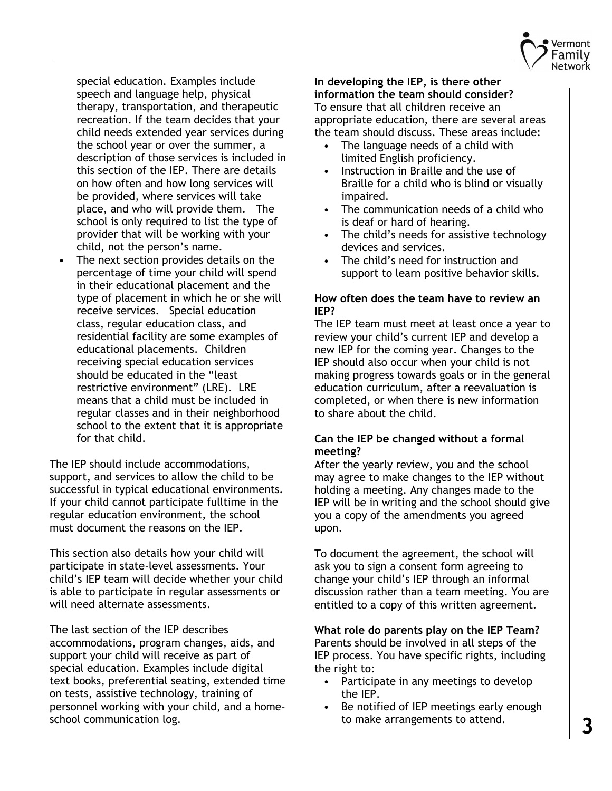

special education. Examples include speech and language help, physical therapy, transportation, and therapeutic recreation. If the team decides that your child needs extended year services during the school year or over the summer, a description of those services is included in this section of the IEP. There are details on how often and how long services will be provided, where services will take place, and who will provide them. The school is only required to list the type of provider that will be working with your child, not the person's name.

• The next section provides details on the percentage of time your child will spend in their educational placement and the type of placement in which he or she will receive services. Special education class, regular education class, and residential facility are some examples of educational placements. Children receiving special education services should be educated in the "least restrictive environment" (LRE). LRE means that a child must be included in regular classes and in their neighborhood school to the extent that it is appropriate for that child.

The IEP should include accommodations, support, and services to allow the child to be successful in typical educational environments. If your child cannot participate fulltime in the regular education environment, the school must document the reasons on the IEP.

This section also details how your child will participate in state-level assessments. Your child's IEP team will decide whether your child is able to participate in regular assessments or will need alternate assessments.

The last section of the IEP describes accommodations, program changes, aids, and support your child will receive as part of special education. Examples include digital text books, preferential seating, extended time on tests, assistive technology, training of personnel working with your child, and a homeschool communication log.

**In developing the IEP, is there other information the team should consider?** To ensure that all children receive an appropriate education, there are several areas the team should discuss. These areas include:

- The language needs of a child with limited English proficiency.
- Instruction in Braille and the use of Braille for a child who is blind or visually impaired.
- The communication needs of a child who is deaf or hard of hearing.
- The child's needs for assistive technology devices and services.
- The child's need for instruction and support to learn positive behavior skills.

## **How often does the team have to review an IEP?**

The IEP team must meet at least once a year to review your child's current IEP and develop a new IEP for the coming year. Changes to the IEP should also occur when your child is not making progress towards goals or in the general education curriculum, after a reevaluation is completed, or when there is new information to share about the child.

## **Can the IEP be changed without a formal meeting?**

After the yearly review, you and the school may agree to make changes to the IEP without holding a meeting. Any changes made to the IEP will be in writing and the school should give you a copy of the amendments you agreed upon.

To document the agreement, the school will ask you to sign a consent form agreeing to change your child's IEP through an informal discussion rather than a team meeting. You are entitled to a copy of this written agreement.

# **What role do parents play on the IEP Team?**

Parents should be involved in all steps of the IEP process. You have specific rights, including the right to:

- Participate in any meetings to develop the IEP.
- Be notified of IEP meetings early enough to make arrangements to attend.